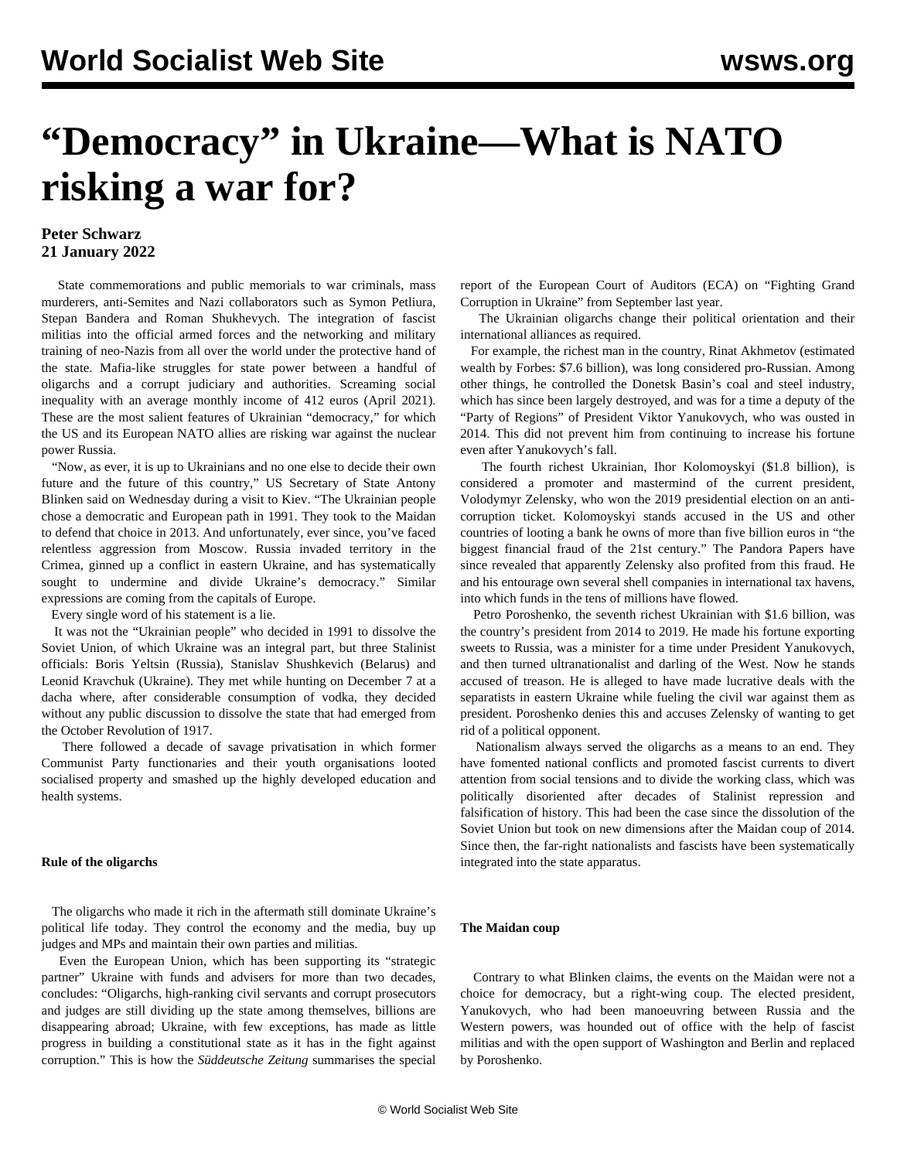# **"Democracy" in Ukraine—What is NATO risking a war for?**

### **Peter Schwarz 21 January 2022**

 State commemorations and public memorials to war criminals, mass murderers, anti-Semites and Nazi collaborators such as Symon Petliura, Stepan Bandera and Roman Shukhevych. The integration of fascist militias into the official armed forces and the networking and military training of neo-Nazis from all over the world under the protective hand of the state. Mafia-like struggles for state power between a handful of oligarchs and a corrupt judiciary and authorities. Screaming social inequality with an average monthly income of 412 euros (April 2021). These are the most salient features of Ukrainian "democracy," for which the US and its European NATO allies are risking war against the nuclear power Russia.

 "Now, as ever, it is up to Ukrainians and no one else to decide their own future and the future of this country," US Secretary of State Antony Blinken said on Wednesday during a visit to Kiev. "The Ukrainian people chose a democratic and European path in 1991. They took to the Maidan to defend that choice in 2013. And unfortunately, ever since, you've faced relentless aggression from Moscow. Russia invaded territory in the Crimea, ginned up a conflict in eastern Ukraine, and has systematically sought to undermine and divide Ukraine's democracy." Similar expressions are coming from the capitals of Europe.

Every single word of his statement is a lie.

 It was not the "Ukrainian people" who decided in 1991 to [dissolve](/en/topics/event/dissolution-soviet-union) the Soviet Union, of which Ukraine was an integral part, but three Stalinist officials: Boris Yeltsin (Russia), Stanislav Shushkevich (Belarus) and Leonid Kravchuk (Ukraine). They met while hunting on December 7 at a dacha where, after considerable consumption of vodka, they decided without any public discussion to dissolve the state that had emerged from the October Revolution of 1917.

 There followed a decade of savage privatisation in which former Communist Party functionaries and their youth organisations looted socialised property and smashed up the highly developed education and health systems.

#### **Rule of the oligarchs**

 The oligarchs who made it rich in the aftermath still dominate Ukraine's political life today. They control the economy and the media, buy up judges and MPs and maintain their own parties and militias.

 Even the European Union, which has been supporting its "strategic partner" Ukraine with funds and advisers for more than two decades, concludes: "Oligarchs, high-ranking civil servants and corrupt prosecutors and judges are still dividing up the state among themselves, billions are disappearing abroad; Ukraine, with few exceptions, has made as little progress in building a constitutional state as it has in the fight against corruption." This is how the *Süddeutsche Zeitung* summarises the special report of the European Court of Auditors (ECA) on "Fighting Grand Corruption in Ukraine" from September last year.

 The Ukrainian oligarchs change their political orientation and their international alliances as required.

 For example, the richest man in the country, Rinat Akhmetov (estimated wealth by Forbes: \$7.6 billion), was long considered pro-Russian. Among other things, he controlled the Donetsk Basin's coal and steel industry, which has since been largely destroyed, and was for a time a deputy of the "Party of Regions" of President Viktor Yanukovych, who was ousted in 2014. This did not prevent him from continuing to increase his fortune even after Yanukovych's fall.

 The fourth richest Ukrainian, Ihor Kolomoyskyi (\$1.8 billion), is considered a promoter and mastermind of the current president, Volodymyr Zelensky, who won the 2019 presidential election on an anticorruption ticket. Kolomoyskyi stands accused in the US and other countries of looting a bank he owns of more than five billion euros in "the biggest financial fraud of the 21st century." The [Pandora Papers](/en/articles/2021/10/05/gtko-o05.html) have since revealed that apparently Zelensky also profited from this fraud. He and his entourage own several shell companies in international tax havens, into which funds in the tens of millions have flowed.

 Petro Poroshenko, the seventh richest Ukrainian with \$1.6 billion, was the country's president from 2014 to 2019. He made his fortune exporting sweets to Russia, was a minister for a time under President Yanukovych, and then turned ultranationalist and darling of the West. Now he stands accused of treason. He is alleged to have made lucrative deals with the separatists in eastern Ukraine while [fueling](/en/articles/2014/07/02/ukra-j02.html) the civil war against them as president. Poroshenko denies this and accuses Zelensky of wanting to get rid of a political opponent.

 Nationalism always served the oligarchs as a means to an end. They have fomented national conflicts and promoted fascist currents to divert attention from social tensions and to divide the working class, which was politically disoriented after decades of Stalinist repression and falsification of history. This had been the case since the dissolution of the Soviet Union but took on new dimensions after the Maidan coup of 2014. Since then, the far-right nationalists and fascists have been systematically integrated into the state apparatus.

#### **The Maidan coup**

 Contrary to what Blinken claims, the events on the [Maidan](/en/articles/2015/02/16/maid-f16.html) were not a choice for democracy, but a right-wing coup. The elected president, Yanukovych, who had been manoeuvring between Russia and the Western powers, was hounded out of office with the help of fascist militias and with the open support of Washington and Berlin and replaced by Poroshenko.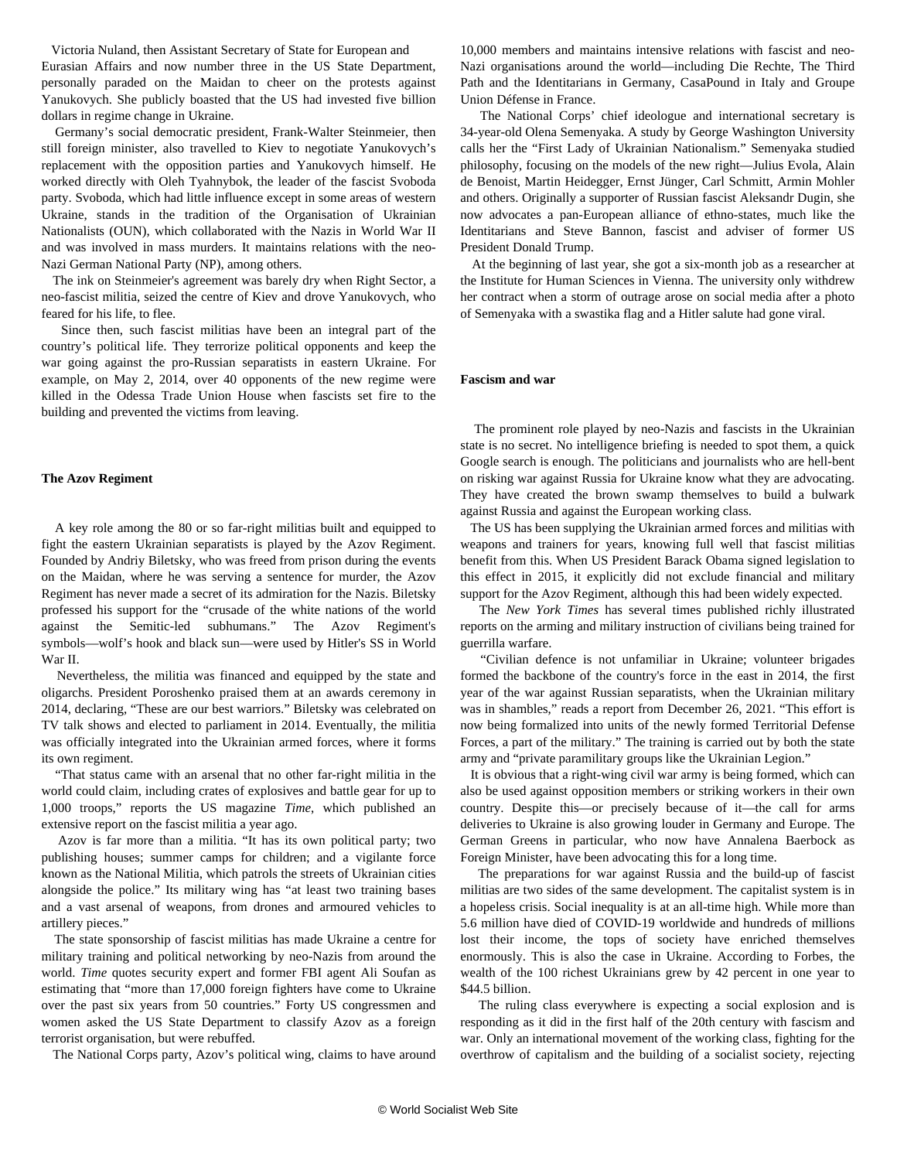Victoria Nuland, then Assistant Secretary of State for European and Eurasian Affairs and now number three in the US State Department, personally paraded on the Maidan to cheer on the protests against Yanukovych. She publicly [boasted](/en/articles/2015/06/12/pers-j12.html) that the US had invested five billion dollars in regime change in Ukraine.

 Germany's social democratic president, Frank-Walter Steinmeier, then still foreign minister, also travelled to Kiev to negotiate Yanukovych's replacement with the opposition parties and Yanukovych himself. He worked directly with Oleh [Tyahnybok](/en/articles/2004/12/ukra-d07.html), the leader of the fascist Svoboda party. Svoboda, which had little influence except in some areas of western Ukraine, stands in the tradition of the Organisation of Ukrainian Nationalists (OUN), which collaborated with the Nazis in World War II and was involved in mass murders. It maintains relations with the neo-Nazi German National Party (NP), among others.

 The ink on Steinmeier's agreement was barely dry when Right Sector, a neo-fascist militia, seized the centre of Kiev and drove Yanukovych, who feared for his life, to flee.

 Since then, such fascist militias have been an integral part of the country's political life. They terrorize political opponents and keep the war going against the pro-Russian separatists in eastern Ukraine. For example, on May 2, 2014, over 40 opponents of the new regime were killed in the Odessa Trade Union House when fascists set fire to the building and prevented the victims from leaving.

#### **The Azov Regiment**

 A key role among the 80 or so far-right militias built and equipped to fight the eastern Ukrainian separatists is played by the [Azov Regiment](/en/articles/2016/02/01/azov-f01.html). Founded by Andriy Biletsky, who was freed from prison during the events on the Maidan, where he was serving a sentence for murder, the Azov Regiment has never made a secret of its admiration for the Nazis. Biletsky professed his support for the "crusade of the white nations of the world against the Semitic-led subhumans." The Azov Regiment's symbols—wolf's hook and black sun—were used by Hitler's SS in World War II.

 Nevertheless, the militia was financed and equipped by the state and oligarchs. President Poroshenko praised them at an awards ceremony in 2014, declaring, "These are our best warriors." Biletsky was celebrated on TV talk shows and elected to parliament in 2014. Eventually, the militia was officially integrated into the Ukrainian armed forces, where it forms its own regiment.

 "That status came with an arsenal that no other far-right militia in the world could claim, including crates of explosives and battle gear for up to 1,000 troops," reports the US magazine *Time*, which published an extensive report on the fascist militia a year ago.

 Azov is far more than a militia. "It has its own political party; two publishing houses; summer camps for children; and a vigilante force known as the National Militia, which patrols the streets of Ukrainian cities alongside the police." Its military wing has "at least two training bases and a vast arsenal of weapons, from drones and armoured vehicles to artillery pieces."

 The state sponsorship of fascist militias has made Ukraine a centre for military training and political networking by neo-Nazis from around the world. *Time* quotes security expert and former FBI agent Ali Soufan as estimating that "more than 17,000 foreign fighters have come to Ukraine over the past six years from 50 countries." Forty US congressmen and women asked the US State Department to classify Azov as a foreign terrorist organisation, but were rebuffed.

The National Corps party, Azov's political wing, claims to have around

10,000 members and maintains intensive relations with fascist and neo-Nazi organisations around the world—including [Die Rechte,](/en/articles/2020/08/06/nazi-a06.html) The Third Path and the Identitarians in Germany, [CasaPound](/en/articles/2017/12/14/ital-d14.html) in Italy and Groupe Union Défense in France.

 The National Corps' chief ideologue and international secretary is 34-year-old Olena Semenyaka. A study by George Washington University calls her the "First Lady of Ukrainian Nationalism." Semenyaka studied philosophy, focusing on the models of the new right—Julius Evola, Alain de Benoist, Martin Heidegger, Ernst Jünger, Carl Schmitt, Armin Mohler and others. Originally a supporter of Russian fascist Aleksandr Dugin, she now advocates a pan-European alliance of ethno-states, much like the Identitarians and Steve Bannon, fascist and adviser of former US President Donald Trump.

 At the beginning of last year, she got a six-month job as a researcher at the Institute for Human Sciences in Vienna. The university only withdrew her contract when a storm of outrage arose on social media after a photo of Semenyaka with a swastika flag and a Hitler salute had gone viral.

#### **Fascism and war**

 The prominent role played by neo-Nazis and fascists in the Ukrainian state is no secret. No intelligence briefing is needed to spot them, a quick Google search is enough. The politicians and journalists who are hell-bent on risking war against Russia for Ukraine know what they are advocating. They have created the brown swamp themselves to build a bulwark against Russia and against the European working class.

 The US has been supplying the Ukrainian armed forces and militias with weapons and trainers for years, knowing full well that fascist militias benefit from this. When US President Barack Obama signed legislation to this effect in 2015, it explicitly did not exclude financial and military support for the Azov Regiment, although this had been widely expected.

 The *New York Times* has several times published richly illustrated reports on the arming and military instruction of civilians being trained for guerrilla warfare.

 "Civilian defence is not unfamiliar in Ukraine; volunteer brigades formed the backbone of the country's force in the east in 2014, the first year of the war against Russian separatists, when the Ukrainian military was in shambles," reads a report from December 26, 2021. "This effort is now being formalized into units of the newly formed Territorial Defense Forces, a part of the military." The training is carried out by both the state army and "private paramilitary groups like the Ukrainian Legion."

 It is obvious that a right-wing civil war army is being formed, which can also be used against opposition members or striking workers in their own country. Despite this—or precisely because of it—the call for arms deliveries to Ukraine is also growing louder in Germany and Europe. The German Greens in particular, who now have [Annalena Baerbock](/en/articles/2022/01/08/baer-j08.html) as Foreign Minister, have been advocating this for a long time.

 The preparations for war against Russia and the build-up of fascist militias are two sides of the same development. The capitalist system is in a hopeless crisis. Social inequality is at an all-time high. While more than 5.6 million have died of COVID-19 worldwide and hundreds of millions lost their income, the tops of society have enriched themselves enormously. This is also the case in Ukraine. According to Forbes, the wealth of the 100 richest Ukrainians grew by 42 percent in one year to \$44.5 billion.

 The ruling class everywhere is expecting a social explosion and is responding as it did in the first half of the 20th century with fascism and war. Only an international movement of the working class, fighting for the overthrow of capitalism and the building of a socialist society, rejecting